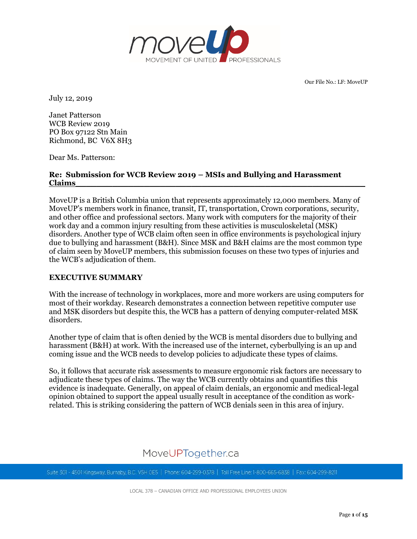

Our File No.: LF: MoveUP

July 12, 2019

Janet Patterson WCB Review 2019 PO Box 97122 Stn Main Richmond, BC V6X 8H3

Dear Ms. Patterson:

## **Re: Submission for WCB Review 2019 – MSIs and Bullying and Harassment Claims\_\_\_\_\_\_\_\_\_\_\_\_\_\_\_\_\_\_\_\_\_\_\_\_\_\_\_\_\_\_\_\_\_\_\_\_\_\_\_\_\_\_\_\_\_\_\_\_\_\_\_\_\_\_\_**

MoveUP is a British Columbia union that represents approximately 12,000 members. Many of MoveUP's members work in finance, transit, IT, transportation, Crown corporations, security, and other office and professional sectors. Many work with computers for the majority of their work day and a common injury resulting from these activities is musculoskeletal (MSK) disorders. Another type of WCB claim often seen in office environments is psychological injury due to bullying and harassment (B&H). Since MSK and B&H claims are the most common type of claim seen by MoveUP members, this submission focuses on these two types of injuries and the WCB's adjudication of them.

## **EXECUTIVE SUMMARY**

With the increase of technology in workplaces, more and more workers are using computers for most of their workday. Research demonstrates a connection between repetitive computer use and MSK disorders but despite this, the WCB has a pattern of denying computer-related MSK disorders.

Another type of claim that is often denied by the WCB is mental disorders due to bullying and harassment (B&H) at work. With the increased use of the internet, cyberbullying is an up and coming issue and the WCB needs to develop policies to adjudicate these types of claims.

So, it follows that accurate risk assessments to measure ergonomic risk factors are necessary to adjudicate these types of claims. The way the WCB currently obtains and quantifies this evidence is inadequate. Generally, on appeal of claim denials, an ergonomic and medical-legal opinion obtained to support the appeal usually result in acceptance of the condition as workrelated. This is striking considering the pattern of WCB denials seen in this area of injury.

# MoveUPTogether.ca

Suite 301 - 4501 Kingsway, Burnaby, B.C. V5H OE5 | Phone: 604-299-0378 | Toll Free Line: 1-800-665-6838 | Fax: 604-299-8211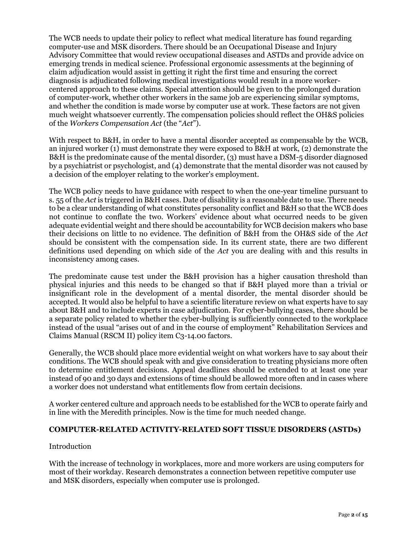The WCB needs to update their policy to reflect what medical literature has found regarding computer-use and MSK disorders. There should be an Occupational Disease and Injury Advisory Committee that would review occupational diseases and ASTDs and provide advice on emerging trends in medical science. Professional ergonomic assessments at the beginning of claim adjudication would assist in getting it right the first time and ensuring the correct diagnosis is adjudicated following medical investigations would result in a more workercentered approach to these claims. Special attention should be given to the prolonged duration of computer-work, whether other workers in the same job are experiencing similar symptoms, and whether the condition is made worse by computer use at work. These factors are not given much weight whatsoever currently. The compensation policies should reflect the OH&S policies of the *Workers Compensation Act* (the "*Act*").

With respect to B&H, in order to have a mental disorder accepted as compensable by the WCB, an injured worker (1) must demonstrate they were exposed to B&H at work, (2) demonstrate the B&H is the predominate cause of the mental disorder,  $(3)$  must have a DSM-5 disorder diagnosed by a psychiatrist or psychologist, and (4) demonstrate that the mental disorder was not caused by a decision of the employer relating to the worker's employment.

The WCB policy needs to have guidance with respect to when the one-year timeline pursuant to s. 55 of the *Act* is triggered in B&H cases. Date of disability is a reasonable date to use. There needs to be a clear understanding of what constitutes personality conflict and B&H so that the WCB does not continue to conflate the two. Workers' evidence about what occurred needs to be given adequate evidential weight and there should be accountability for WCB decision makers who base their decisions on little to no evidence. The definition of B&H from the OH&S side of the *Act*  should be consistent with the compensation side. In its current state, there are two different definitions used depending on which side of the *Act* you are dealing with and this results in inconsistency among cases.

The predominate cause test under the B&H provision has a higher causation threshold than physical injuries and this needs to be changed so that if B&H played more than a trivial or insignificant role in the development of a mental disorder, the mental disorder should be accepted. It would also be helpful to have a scientific literature review on what experts have to say about B&H and to include experts in case adjudication. For cyber-bullying cases, there should be a separate policy related to whether the cyber-bullying is sufficiently connected to the workplace instead of the usual "arises out of and in the course of employment" Rehabilitation Services and Claims Manual (RSCM II) policy item C3-14.00 factors.

Generally, the WCB should place more evidential weight on what workers have to say about their conditions. The WCB should speak with and give consideration to treating physicians more often to determine entitlement decisions. Appeal deadlines should be extended to at least one year instead of 90 and 30 days and extensions of time should be allowed more often and in cases where a worker does not understand what entitlements flow from certain decisions.

A worker centered culture and approach needs to be established for the WCB to operate fairly and in line with the Meredith principles. Now is the time for much needed change.

## **COMPUTER-RELATED ACTIVITY-RELATED SOFT TISSUE DISORDERS (ASTDs)**

## Introduction

With the increase of technology in workplaces, more and more workers are using computers for most of their workday. Research demonstrates a connection between repetitive computer use and MSK disorders, especially when computer use is prolonged.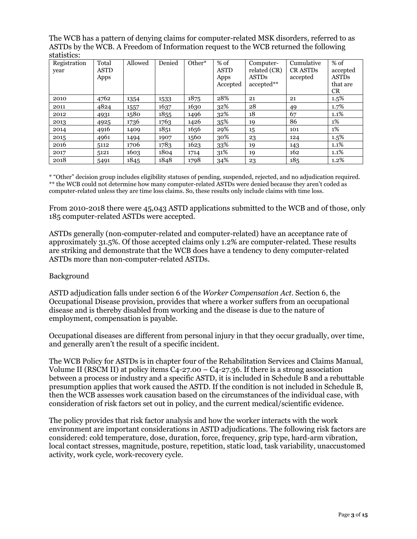The WCB has a pattern of denying claims for computer-related MSK disorders, referred to as ASTDs by the WCB. A Freedom of Information request to the WCB returned the following statistics:

| Registration | Total       | Allowed | Denied | Other* | % of        | Computer-    | Cumulative     | $%$ of       |
|--------------|-------------|---------|--------|--------|-------------|--------------|----------------|--------------|
| year         | <b>ASTD</b> |         |        |        | <b>ASTD</b> | related (CR) | <b>CRASTDs</b> | accepted     |
|              | Apps        |         |        |        | Apps        | <b>ASTDs</b> | accepted       | <b>ASTDs</b> |
|              |             |         |        |        | Accepted    | accepted**   |                | that are     |
|              |             |         |        |        |             |              |                | <b>CR</b>    |
| 2010         | 4762        | 1354    | 1533   | 1875   | 28%         | 21           | 21             | 1.5%         |
| 2011         | 4824        | 1557    | 1637   | 1630   | 32%         | 28           | 49             | 1.7%         |
| 2012         | 4931        | 1580    | 1855   | 1496   | 32%         | 18           | 67             | 1.1%         |
| 2013         | 4925        | 1736    | 1763   | 1426   | 35%         | 19           | 86             | 1%           |
| 2014         | 4916        | 1409    | 1851   | 1656   | 29%         | 15           | 101            | 1%           |
| 2015         | 4961        | 1494    | 1907   | 1560   | 30%         | 23           | 124            | $1.5\%$      |
| 2016         | 5112        | 1706    | 1783   | 1623   | 33%         | 19           | 143            | 1.1%         |
| 2017         | 5121        | 1603    | 1804   | 1714   | 31%         | 19           | 162            | 1.1%         |
| 2018         | 5491        | 1845    | 1848   | 1798   | 34%         | 23           | 185            | 1.2%         |

\* "Other" decision group includes eligibility statuses of pending, suspended, rejected, and no adjudication required. \*\* the WCB could not determine how many computer-related ASTDs were denied because they aren't coded as computer-related unless they are time loss claims. So, these results only include claims with time loss.

From 2010-2018 there were 45,043 ASTD applications submitted to the WCB and of those, only 185 computer-related ASTDs were accepted.

ASTDs generally (non-computer-related and computer-related) have an acceptance rate of approximately 31.5%. Of those accepted claims only 1.2% are computer-related. These results are striking and demonstrate that the WCB does have a tendency to deny computer-related ASTDs more than non-computer-related ASTDs.

## Background

ASTD adjudication falls under section 6 of the *Worker Compensation Act*. Section 6, the Occupational Disease provision, provides that where a worker suffers from an occupational disease and is thereby disabled from working and the disease is due to the nature of employment, compensation is payable.

Occupational diseases are different from personal injury in that they occur gradually, over time, and generally aren't the result of a specific incident.

The WCB Policy for ASTDs is in chapter four of the Rehabilitation Services and Claims Manual, Volume II (RSCM II) at policy items  $C_{4}$ -27.00 –  $C_{4}$ -27.36. If there is a strong association between a process or industry and a specific ASTD, it is included in Schedule B and a rebuttable presumption applies that work caused the ASTD. If the condition is not included in Schedule B, then the WCB assesses work causation based on the circumstances of the individual case, with consideration of risk factors set out in policy, and the current medical/scientific evidence.

The policy provides that risk factor analysis and how the worker interacts with the work environment are important considerations in ASTD adjudications. The following risk factors are considered: cold temperature, dose, duration, force, frequency, grip type, hard-arm vibration, local contact stresses, magnitude, posture, repetition, static load, task variability, unaccustomed activity, work cycle, work-recovery cycle.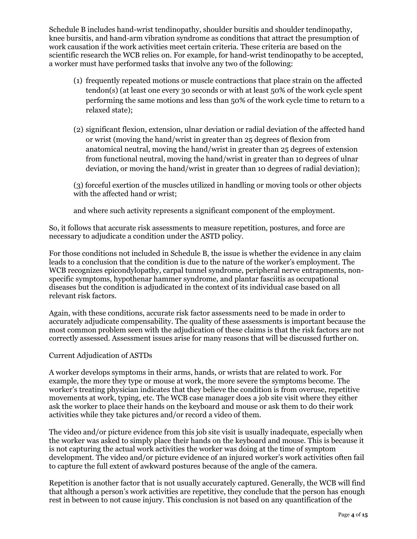Schedule B includes hand-wrist tendinopathy, shoulder bursitis and shoulder tendinopathy, knee bursitis, and hand-arm vibration syndrome as conditions that attract the presumption of work causation if the work activities meet certain criteria. These criteria are based on the scientific research the WCB relies on. For example, for hand-wrist tendinopathy to be accepted, a worker must have performed tasks that involve any two of the following:

- (1) frequently repeated motions or muscle contractions that place strain on the affected tendon(s) (at least one every 30 seconds or with at least 50% of the work cycle spent performing the same motions and less than 50% of the work cycle time to return to a relaxed state);
- (2) significant flexion, extension, ulnar deviation or radial deviation of the affected hand or wrist (moving the hand/wrist in greater than 25 degrees of flexion from anatomical neutral, moving the hand/wrist in greater than 25 degrees of extension from functional neutral, moving the hand/wrist in greater than 10 degrees of ulnar deviation, or moving the hand/wrist in greater than 10 degrees of radial deviation);

(3) forceful exertion of the muscles utilized in handling or moving tools or other objects with the affected hand or wrist;

and where such activity represents a significant component of the employment.

So, it follows that accurate risk assessments to measure repetition, postures, and force are necessary to adjudicate a condition under the ASTD policy.

For those conditions not included in Schedule B, the issue is whether the evidence in any claim leads to a conclusion that the condition is due to the nature of the worker's employment. The WCB recognizes epicondylopathy, carpal tunnel syndrome, peripheral nerve entrapments, nonspecific symptoms, hypothenar hammer syndrome, and plantar fasciitis as occupational diseases but the condition is adjudicated in the context of its individual case based on all relevant risk factors.

Again, with these conditions, accurate risk factor assessments need to be made in order to accurately adjudicate compensability. The quality of these assessments is important because the most common problem seen with the adjudication of these claims is that the risk factors are not correctly assessed. Assessment issues arise for many reasons that will be discussed further on.

## Current Adjudication of ASTDs

A worker develops symptoms in their arms, hands, or wrists that are related to work. For example, the more they type or mouse at work, the more severe the symptoms become. The worker's treating physician indicates that they believe the condition is from overuse, repetitive movements at work, typing, etc. The WCB case manager does a job site visit where they either ask the worker to place their hands on the keyboard and mouse or ask them to do their work activities while they take pictures and/or record a video of them.

The video and/or picture evidence from this job site visit is usually inadequate, especially when the worker was asked to simply place their hands on the keyboard and mouse. This is because it is not capturing the actual work activities the worker was doing at the time of symptom development. The video and/or picture evidence of an injured worker's work activities often fail to capture the full extent of awkward postures because of the angle of the camera.

Repetition is another factor that is not usually accurately captured. Generally, the WCB will find that although a person's work activities are repetitive, they conclude that the person has enough rest in between to not cause injury. This conclusion is not based on any quantification of the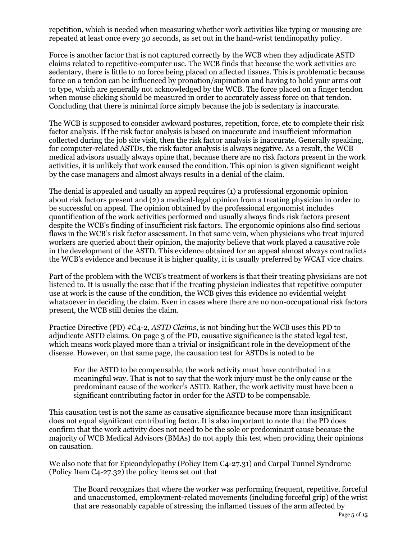repetition, which is needed when measuring whether work activities like typing or mousing are repeated at least once every 30 seconds, as set out in the hand-wrist tendinopathy policy.

Force is another factor that is not captured correctly by the WCB when they adjudicate ASTD claims related to repetitive-computer use. The WCB finds that because the work activities are sedentary, there is little to no force being placed on affected tissues. This is problematic because force on a tendon can be influenced by pronation/supination and having to hold your arms out to type, which are generally not acknowledged by the WCB. The force placed on a finger tendon when mouse clicking should be measured in order to accurately assess force on that tendon. Concluding that there is minimal force simply because the job is sedentary is inaccurate.

The WCB is supposed to consider awkward postures, repetition, force, etc to complete their risk factor analysis. If the risk factor analysis is based on inaccurate and insufficient information collected during the job site visit, then the risk factor analysis is inaccurate. Generally speaking, for computer-related ASTDs, the risk factor analysis is always negative. As a result, the WCB medical advisors usually always opine that, because there are no risk factors present in the work activities, it is unlikely that work caused the condition. This opinion is given significant weight by the case managers and almost always results in a denial of the claim.

The denial is appealed and usually an appeal requires (1) a professional ergonomic opinion about risk factors present and (2) a medical-legal opinion from a treating physician in order to be successful on appeal. The opinion obtained by the professional ergonomist includes quantification of the work activities performed and usually always finds risk factors present despite the WCB's finding of insufficient risk factors. The ergonomic opinions also find serious flaws in the WCB's risk factor assessment. In that same vein, when physicians who treat injured workers are queried about their opinion, the majority believe that work played a causative role in the development of the ASTD. This evidence obtained for an appeal almost always contradicts the WCB's evidence and because it is higher quality, it is usually preferred by WCAT vice chairs.

Part of the problem with the WCB's treatment of workers is that their treating physicians are not listened to. It is usually the case that if the treating physician indicates that repetitive computer use at work is the cause of the condition, the WCB gives this evidence no evidential weight whatsoever in deciding the claim. Even in cases where there are no non-occupational risk factors present, the WCB still denies the claim.

Practice Directive (PD) #C4-2, *ASTD Claims*, is not binding but the WCB uses this PD to adjudicate ASTD claims. On page 3 of the PD, causative significance is the stated legal test, which means work played more than a trivial or insignificant role in the development of the disease. However, on that same page, the causation test for ASTDs is noted to be

For the ASTD to be compensable, the work activity must have contributed in a meaningful way. That is not to say that the work injury must be the only cause or the predominant cause of the worker's ASTD. Rather, the work activity must have been a significant contributing factor in order for the ASTD to be compensable.

This causation test is not the same as causative significance because more than insignificant does not equal significant contributing factor. It is also important to note that the PD does confirm that the work activity does not need to be the sole or predominant cause because the majority of WCB Medical Advisors (BMAs) do not apply this test when providing their opinions on causation.

We also note that for Epicondylopathy (Policy Item C4-27.31) and Carpal Tunnel Syndrome (Policy Item C4-27.32) the policy items set out that

The Board recognizes that where the worker was performing frequent, repetitive, forceful and unaccustomed, employment-related movements (including forceful grip) of the wrist that are reasonably capable of stressing the inflamed tissues of the arm affected by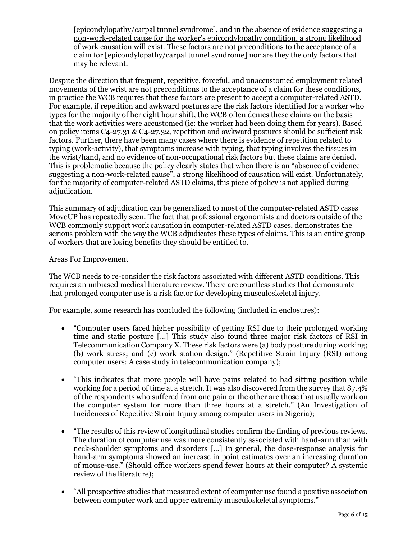[epicondylopathy/carpal tunnel syndrome], and in the absence of evidence suggesting a non-work-related cause for the worker's epicondylopathy condition, a strong likelihood of work causation will exist. These factors are not preconditions to the acceptance of a claim for [epicondylopathy/carpal tunnel syndrome] nor are they the only factors that may be relevant.

Despite the direction that frequent, repetitive, forceful, and unaccustomed employment related movements of the wrist are not preconditions to the acceptance of a claim for these conditions, in practice the WCB requires that these factors are present to accept a computer-related ASTD. For example, if repetition and awkward postures are the risk factors identified for a worker who types for the majority of her eight hour shift, the WCB often denies these claims on the basis that the work activities were accustomed (ie: the worker had been doing them for years). Based on policy items C4-27.31 & C4-27.32, repetition and awkward postures should be sufficient risk factors. Further, there have been many cases where there is evidence of repetition related to typing (work-activity), that symptoms increase with typing, that typing involves the tissues in the wrist/hand, and no evidence of non-occupational risk factors but these claims are denied. This is problematic because the policy clearly states that when there is an "absence of evidence suggesting a non-work-related cause", a strong likelihood of causation will exist. Unfortunately, for the majority of computer-related ASTD claims, this piece of policy is not applied during adjudication.

This summary of adjudication can be generalized to most of the computer-related ASTD cases MoveUP has repeatedly seen. The fact that professional ergonomists and doctors outside of the WCB commonly support work causation in computer-related ASTD cases, demonstrates the serious problem with the way the WCB adjudicates these types of claims. This is an entire group of workers that are losing benefits they should be entitled to.

## Areas For Improvement

The WCB needs to re-consider the risk factors associated with different ASTD conditions. This requires an unbiased medical literature review. There are countless studies that demonstrate that prolonged computer use is a risk factor for developing musculoskeletal injury.

For example, some research has concluded the following (included in enclosures):

- "Computer users faced higher possibility of getting RSI due to their prolonged working time and static posture […] This study also found three major risk factors of RSI in Telecommunication Company X. These risk factors were (a) body posture during working; (b) work stress; and (c) work station design." (Repetitive Strain Injury (RSI) among computer users: A case study in telecommunication company);
- "This indicates that more people will have pains related to bad sitting position while working for a period of time at a stretch. It was also discovered from the survey that 87.4% of the respondents who suffered from one pain or the other are those that usually work on the computer system for more than three hours at a stretch." (An Investigation of Incidences of Repetitive Strain Injury among computer users in Nigeria);
- "The results of this review of longitudinal studies confirm the finding of previous reviews. The duration of computer use was more consistently associated with hand-arm than with neck-shoulder symptoms and disorders […] In general, the dose-response analysis for hand-arm symptoms showed an increase in point estimates over an increasing duration of mouse-use." (Should office workers spend fewer hours at their computer? A systemic review of the literature);
- "All prospective studies that measured extent of computer use found a positive association between computer work and upper extremity musculoskeletal symptoms."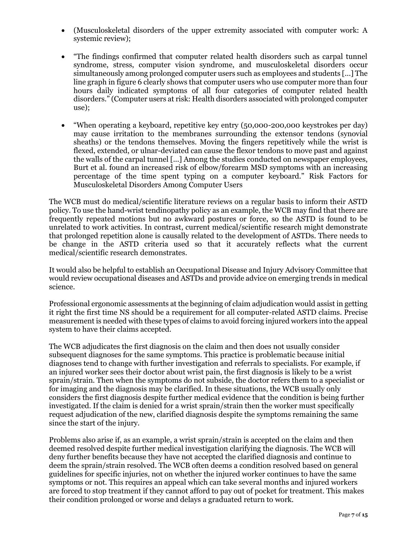- (Musculoskeletal disorders of the upper extremity associated with computer work: A systemic review);
- "The findings confirmed that computer related health disorders such as carpal tunnel syndrome, stress, computer vision syndrome, and musculoskeletal disorders occur simultaneously among prolonged computer users such as employees and students [...] The line graph in figure 6 clearly shows that computer users who use computer more than four hours daily indicated symptoms of all four categories of computer related health disorders." (Computer users at risk: Health disorders associated with prolonged computer use);
- "When operating a keyboard, repetitive key entry (50,000-200,000 keystrokes per day) may cause irritation to the membranes surrounding the extensor tendons (synovial sheaths) or the tendons themselves. Moving the fingers repetitively while the wrist is flexed, extended, or ulnar-deviated can cause the flexor tendons to move past and against the walls of the carpal tunnel [...] Among the studies conducted on newspaper employees, Burt et al. found an increased risk of elbow/forearm MSD symptoms with an increasing percentage of the time spent typing on a computer keyboard." Risk Factors for Musculoskeletal Disorders Among Computer Users

The WCB must do medical/scientific literature reviews on a regular basis to inform their ASTD policy. To use the hand-wrist tendinopathy policy as an example, the WCB may find that there are frequently repeated motions but no awkward postures or force, so the ASTD is found to be unrelated to work activities. In contrast, current medical/scientific research might demonstrate that prolonged repetition alone is causally related to the development of ASTDs. There needs to be change in the ASTD criteria used so that it accurately reflects what the current medical/scientific research demonstrates.

It would also be helpful to establish an Occupational Disease and Injury Advisory Committee that would review occupational diseases and ASTDs and provide advice on emerging trends in medical science.

Professional ergonomic assessments at the beginning of claim adjudication would assist in getting it right the first time NS should be a requirement for all computer-related ASTD claims. Precise measurement is needed with these types of claims to avoid forcing injured workers into the appeal system to have their claims accepted.

The WCB adjudicates the first diagnosis on the claim and then does not usually consider subsequent diagnoses for the same symptoms. This practice is problematic because initial diagnoses tend to change with further investigation and referrals to specialists. For example, if an injured worker sees their doctor about wrist pain, the first diagnosis is likely to be a wrist sprain/strain. Then when the symptoms do not subside, the doctor refers them to a specialist or for imaging and the diagnosis may be clarified. In these situations, the WCB usually only considers the first diagnosis despite further medical evidence that the condition is being further investigated. If the claim is denied for a wrist sprain/strain then the worker must specifically request adjudication of the new, clarified diagnosis despite the symptoms remaining the same since the start of the injury.

Problems also arise if, as an example, a wrist sprain/strain is accepted on the claim and then deemed resolved despite further medical investigation clarifying the diagnosis. The WCB will deny further benefits because they have not accepted the clarified diagnosis and continue to deem the sprain/strain resolved. The WCB often deems a condition resolved based on general guidelines for specific injuries, not on whether the injured worker continues to have the same symptoms or not. This requires an appeal which can take several months and injured workers are forced to stop treatment if they cannot afford to pay out of pocket for treatment. This makes their condition prolonged or worse and delays a graduated return to work.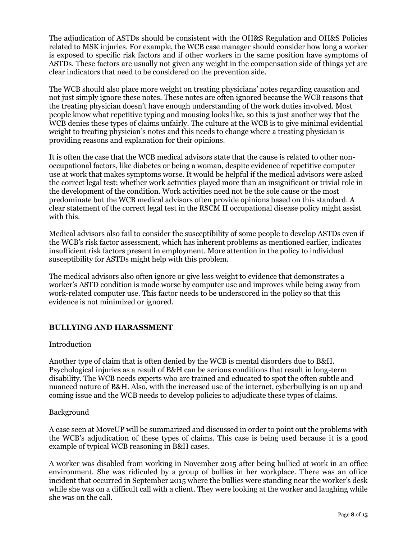The adjudication of ASTDs should be consistent with the OH&S Regulation and OH&S Policies related to MSK injuries. For example, the WCB case manager should consider how long a worker is exposed to specific risk factors and if other workers in the same position have symptoms of ASTDs. These factors are usually not given any weight in the compensation side of things yet are clear indicators that need to be considered on the prevention side.

The WCB should also place more weight on treating physicians' notes regarding causation and not just simply ignore these notes. These notes are often ignored because the WCB reasons that the treating physician doesn't have enough understanding of the work duties involved. Most people know what repetitive typing and mousing looks like, so this is just another way that the WCB denies these types of claims unfairly. The culture at the WCB is to give minimal evidential weight to treating physician's notes and this needs to change where a treating physician is providing reasons and explanation for their opinions.

It is often the case that the WCB medical advisors state that the cause is related to other nonoccupational factors, like diabetes or being a woman, despite evidence of repetitive computer use at work that makes symptoms worse. It would be helpful if the medical advisors were asked the correct legal test: whether work activities played more than an insignificant or trivial role in the development of the condition. Work activities need not be the sole cause or the most predominate but the WCB medical advisors often provide opinions based on this standard. A clear statement of the correct legal test in the RSCM II occupational disease policy might assist with this.

Medical advisors also fail to consider the susceptibility of some people to develop ASTDs even if the WCB's risk factor assessment, which has inherent problems as mentioned earlier, indicates insufficient risk factors present in employment. More attention in the policy to individual susceptibility for ASTDs might help with this problem.

The medical advisors also often ignore or give less weight to evidence that demonstrates a worker's ASTD condition is made worse by computer use and improves while being away from work-related computer use. This factor needs to be underscored in the policy so that this evidence is not minimized or ignored.

# **BULLYING AND HARASSMENT**

## Introduction

Another type of claim that is often denied by the WCB is mental disorders due to B&H. Psychological injuries as a result of B&H can be serious conditions that result in long-term disability. The WCB needs experts who are trained and educated to spot the often subtle and nuanced nature of B&H. Also, with the increased use of the internet, cyberbullying is an up and coming issue and the WCB needs to develop policies to adjudicate these types of claims.

## Background

A case seen at MoveUP will be summarized and discussed in order to point out the problems with the WCB's adjudication of these types of claims. This case is being used because it is a good example of typical WCB reasoning in B&H cases.

A worker was disabled from working in November 2015 after being bullied at work in an office environment. She was ridiculed by a group of bullies in her workplace. There was an office incident that occurred in September 2015 where the bullies were standing near the worker's desk while she was on a difficult call with a client. They were looking at the worker and laughing while she was on the call.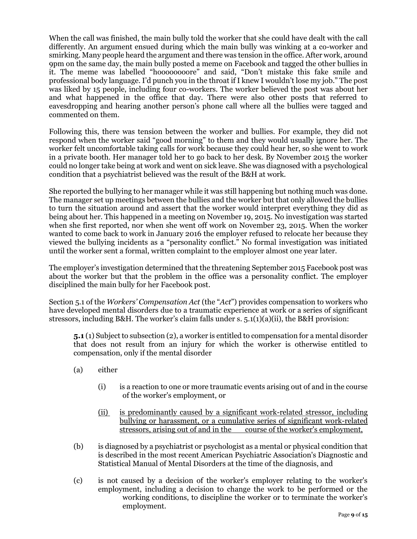When the call was finished, the main bully told the worker that she could have dealt with the call differently. An argument ensued during which the main bully was winking at a co-worker and smirking. Many people heard the argument and there was tension in the office. After work, around 9pm on the same day, the main bully posted a meme on Facebook and tagged the other bullies in it. The meme was labelled "hoooooooore" and said, "Don't mistake this fake smile and professional body language. I'd punch you in the throat if I knew I wouldn't lose my job." The post was liked by 15 people, including four co-workers. The worker believed the post was about her and what happened in the office that day. There were also other posts that referred to eavesdropping and hearing another person's phone call where all the bullies were tagged and commented on them.

Following this, there was tension between the worker and bullies. For example, they did not respond when the worker said "good morning" to them and they would usually ignore her. The worker felt uncomfortable taking calls for work because they could hear her, so she went to work in a private booth. Her manager told her to go back to her desk. By November 2015 the worker could no longer take being at work and went on sick leave. She was diagnosed with a psychological condition that a psychiatrist believed was the result of the B&H at work.

She reported the bullying to her manager while it was still happening but nothing much was done. The manager set up meetings between the bullies and the worker but that only allowed the bullies to turn the situation around and assert that the worker would interpret everything they did as being about her. This happened in a meeting on November 19, 2015. No investigation was started when she first reported, nor when she went off work on November 23, 2015. When the worker wanted to come back to work in January 2016 the employer refused to relocate her because they viewed the bullying incidents as a "personality conflict." No formal investigation was initiated until the worker sent a formal, written complaint to the employer almost one year later.

The employer's investigation determined that the threatening September 2015 Facebook post was about the worker but that the problem in the office was a personality conflict. The employer disciplined the main bully for her Facebook post.

Section 5.1 of the *Workers' Compensation Act* (the "*Act*") provides compensation to workers who have developed mental disorders due to a traumatic experience at work or a series of significant stressors, including B&H. The worker's claim falls under s. 5.1(1)(a)(ii), the B&H provision:

**5.1** (1) Subject to subsection (2), a worker is entitled to compensation for a mental disorder that does not result from an injury for which the worker is otherwise entitled to compensation, only if the mental disorder

- (a) either
	- (i) is a reaction to one or more traumatic events arising out of and in the course of the worker's employment, or
	- (ii) is predominantly caused by a significant work-related stressor, including bullying or harassment, or a cumulative series of significant work-related stressors, arising out of and in the course of the worker's employment,
- (b) is diagnosed by a psychiatrist or psychologist as a mental or physical condition that is described in the most recent American Psychiatric Association's Diagnostic and Statistical Manual of Mental Disorders at the time of the diagnosis, and
- (c) is not caused by a decision of the worker's employer relating to the worker's employment, including a decision to change the work to be performed or the working conditions, to discipline the worker or to terminate the worker's employment.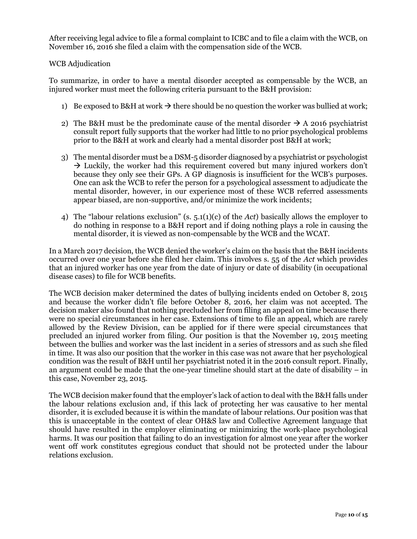After receiving legal advice to file a formal complaint to ICBC and to file a claim with the WCB, on November 16, 2016 she filed a claim with the compensation side of the WCB.

## WCB Adjudication

To summarize, in order to have a mental disorder accepted as compensable by the WCB, an injured worker must meet the following criteria pursuant to the B&H provision:

- 1) Be exposed to B&H at work  $\rightarrow$  there should be no question the worker was bullied at work;
- 2) The B&H must be the predominate cause of the mental disorder  $\rightarrow$  A 2016 psychiatrist consult report fully supports that the worker had little to no prior psychological problems prior to the B&H at work and clearly had a mental disorder post B&H at work;
- 3) The mental disorder must be a DSM-5 disorder diagnosed by a psychiatrist or psychologist  $\rightarrow$  Luckily, the worker had this requirement covered but many injured workers don't because they only see their GPs. A GP diagnosis is insufficient for the WCB's purposes. One can ask the WCB to refer the person for a psychological assessment to adjudicate the mental disorder, however, in our experience most of these WCB referred assessments appear biased, are non-supportive, and/or minimize the work incidents;
- 4) The "labour relations exclusion" (s. 5.1(1)(c) of the *Act*) basically allows the employer to do nothing in response to a B&H report and if doing nothing plays a role in causing the mental disorder, it is viewed as non-compensable by the WCB and the WCAT.

In a March 2017 decision, the WCB denied the worker's claim on the basis that the B&H incidents occurred over one year before she filed her claim. This involves s. 55 of the *Act* which provides that an injured worker has one year from the date of injury or date of disability (in occupational disease cases) to file for WCB benefits.

The WCB decision maker determined the dates of bullying incidents ended on October 8, 2015 and because the worker didn't file before October 8, 2016, her claim was not accepted. The decision maker also found that nothing precluded her from filing an appeal on time because there were no special circumstances in her case. Extensions of time to file an appeal, which are rarely allowed by the Review Division, can be applied for if there were special circumstances that precluded an injured worker from filing. Our position is that the November 19, 2015 meeting between the bullies and worker was the last incident in a series of stressors and as such she filed in time. It was also our position that the worker in this case was not aware that her psychological condition was the result of B&H until her psychiatrist noted it in the 2016 consult report. Finally, an argument could be made that the one-year timeline should start at the date of disability – in this case, November 23, 2015.

The WCB decision maker found that the employer's lack of action to deal with the B&H falls under the labour relations exclusion and, if this lack of protecting her was causative to her mental disorder, it is excluded because it is within the mandate of labour relations. Our position was that this is unacceptable in the context of clear OH&S law and Collective Agreement language that should have resulted in the employer eliminating or minimizing the work-place psychological harms. It was our position that failing to do an investigation for almost one year after the worker went off work constitutes egregious conduct that should not be protected under the labour relations exclusion.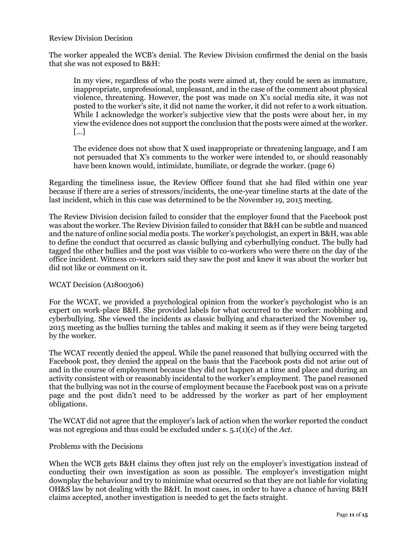## Review Division Decision

The worker appealed the WCB's denial. The Review Division confirmed the denial on the basis that she was not exposed to B&H:

In my view, regardless of who the posts were aimed at, they could be seen as immature, inappropriate, unprofessional, unpleasant, and in the case of the comment about physical violence, threatening. However, the post was made on X's social media site, it was not posted to the worker's site, it did not name the worker, it did not refer to a work situation. While I acknowledge the worker's subjective view that the posts were about her, in my view the evidence does not support the conclusion that the posts were aimed at the worker. […]

The evidence does not show that X used inappropriate or threatening language, and I am not persuaded that X's comments to the worker were intended to, or should reasonably have been known would, intimidate, humiliate, or degrade the worker. (page 6)

Regarding the timeliness issue, the Review Officer found that she had filed within one year because if there are a series of stressors/incidents, the one-year timeline starts at the date of the last incident, which in this case was determined to be the November 19, 2015 meeting.

The Review Division decision failed to consider that the employer found that the Facebook post was about the worker. The Review Division failed to consider that B&H can be subtle and nuanced and the nature of online social media posts. The worker's psychologist, an expert in B&H, was able to define the conduct that occurred as classic bullying and cyberbullying conduct. The bully had tagged the other bullies and the post was visible to co-workers who were there on the day of the office incident. Witness co-workers said they saw the post and knew it was about the worker but did not like or comment on it.

#### WCAT Decision (A1800306)

For the WCAT, we provided a psychological opinion from the worker's psychologist who is an expert on work-place B&H. She provided labels for what occurred to the worker: mobbing and cyberbullying. She viewed the incidents as classic bullying and characterized the November 19, 2015 meeting as the bullies turning the tables and making it seem as if they were being targeted by the worker.

The WCAT recently denied the appeal. While the panel reasoned that bullying occurred with the Facebook post, they denied the appeal on the basis that the Facebook posts did not arise out of and in the course of employment because they did not happen at a time and place and during an activity consistent with or reasonably incidental to the worker's employment. The panel reasoned that the bullying was not in the course of employment because the Facebook post was on a private page and the post didn't need to be addressed by the worker as part of her employment obligations.

The WCAT did not agree that the employer's lack of action when the worker reported the conduct was not egregious and thus could be excluded under s. 5.1(1)(c) of the *Act*.

#### Problems with the Decisions

When the WCB gets B&H claims they often just rely on the employer's investigation instead of conducting their own investigation as soon as possible. The employer's investigation might downplay the behaviour and try to minimize what occurred so that they are not liable for violating OH&S law by not dealing with the B&H. In most cases, in order to have a chance of having B&H claims accepted, another investigation is needed to get the facts straight.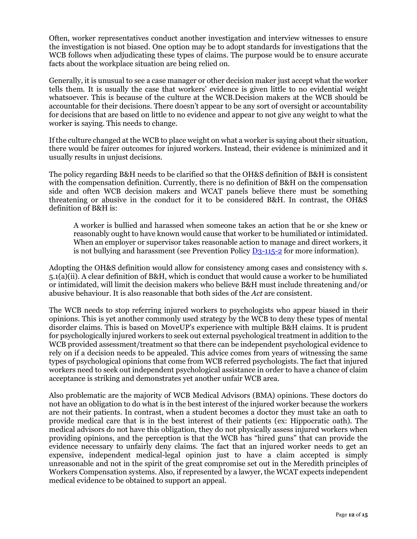Often, worker representatives conduct another investigation and interview witnesses to ensure the investigation is not biased. One option may be to adopt standards for investigations that the WCB follows when adjudicating these types of claims. The purpose would be to ensure accurate facts about the workplace situation are being relied on.

Generally, it is unusual to see a case manager or other decision maker just accept what the worker tells them. It is usually the case that workers' evidence is given little to no evidential weight whatsoever. This is because of the culture at the WCB.Decision makers at the WCB should be accountable for their decisions. There doesn't appear to be any sort of oversight or accountability for decisions that are based on little to no evidence and appear to not give any weight to what the worker is saying. This needs to change.

If the culture changed at the WCB to place weight on what a worker is saying about their situation, there would be fairer outcomes for injured workers. Instead, their evidence is minimized and it usually results in unjust decisions.

The policy regarding B&H needs to be clarified so that the OH&S definition of B&H is consistent with the compensation definition. Currently, there is no definition of B&H on the compensation side and often WCB decision makers and WCAT panels believe there must be something threatening or abusive in the conduct for it to be considered B&H. In contrast, the OH&S definition of B&H is:

A worker is bullied and harassed when someone takes an action that he or she knew or reasonably ought to have known would cause that worker to be humiliated or intimidated. When an employer or supervisor takes reasonable action to manage and direct workers, it is not bullying and harassment (see Prevention Policy  $D_3$ -115-2 for more information).

Adopting the OH&S definition would allow for consistency among cases and consistency with s. 5.1(a)(ii). A clear definition of B&H, which is conduct that would cause a worker to be humiliated or intimidated, will limit the decision makers who believe B&H must include threatening and/or abusive behaviour. It is also reasonable that both sides of the *Act* are consistent.

The WCB needs to stop referring injured workers to psychologists who appear biased in their opinions. This is yet another commonly used strategy by the WCB to deny these types of mental disorder claims. This is based on MoveUP's experience with multiple B&H claims. It is prudent for psychologically injured workers to seek out external psychological treatment in addition to the WCB provided assessment/treatment so that there can be independent psychological evidence to rely on if a decision needs to be appealed. This advice comes from years of witnessing the same types of psychological opinions that come from WCB referred psychologists. The fact that injured workers need to seek out independent psychological assistance in order to have a chance of claim acceptance is striking and demonstrates yet another unfair WCB area.

Also problematic are the majority of WCB Medical Advisors (BMA) opinions. These doctors do not have an obligation to do what is in the best interest of the injured worker because the workers are not their patients. In contrast, when a student becomes a doctor they must take an oath to provide medical care that is in the best interest of their patients (ex: Hippocratic oath). The medical advisors do not have this obligation, they do not physically assess injured workers when providing opinions, and the perception is that the WCB has "hired guns" that can provide the evidence necessary to unfairly deny claims. The fact that an injured worker needs to get an expensive, independent medical-legal opinion just to have a claim accepted is simply unreasonable and not in the spirit of the great compromise set out in the Meredith principles of Workers Compensation systems. Also, if represented by a lawyer, the WCAT expects independent medical evidence to be obtained to support an appeal.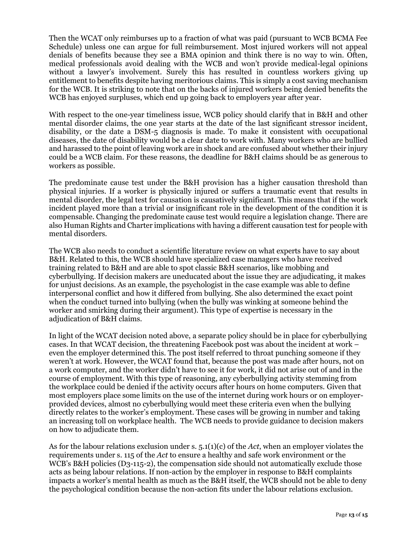Then the WCAT only reimburses up to a fraction of what was paid (pursuant to WCB BCMA Fee Schedule) unless one can argue for full reimbursement. Most injured workers will not appeal denials of benefits because they see a BMA opinion and think there is no way to win. Often, medical professionals avoid dealing with the WCB and won't provide medical-legal opinions without a lawyer's involvement. Surely this has resulted in countless workers giving up entitlement to benefits despite having meritorious claims. This is simply a cost saving mechanism for the WCB. It is striking to note that on the backs of injured workers being denied benefits the WCB has enjoyed surpluses, which end up going back to employers year after year.

With respect to the one-year timeliness issue, WCB policy should clarify that in B&H and other mental disorder claims, the one year starts at the date of the last significant stressor incident, disability, or the date a DSM-5 diagnosis is made. To make it consistent with occupational diseases, the date of disability would be a clear date to work with. Many workers who are bullied and harassed to the point of leaving work are in shock and are confused about whether their injury could be a WCB claim. For these reasons, the deadline for B&H claims should be as generous to workers as possible.

The predominate cause test under the B&H provision has a higher causation threshold than physical injuries. If a worker is physically injured or suffers a traumatic event that results in mental disorder, the legal test for causation is causatively significant. This means that if the work incident played more than a trivial or insignificant role in the development of the condition it is compensable. Changing the predominate cause test would require a legislation change. There are also Human Rights and Charter implications with having a different causation test for people with mental disorders.

The WCB also needs to conduct a scientific literature review on what experts have to say about B&H. Related to this, the WCB should have specialized case managers who have received training related to B&H and are able to spot classic B&H scenarios, like mobbing and cyberbullying. If decision makers are uneducated about the issue they are adjudicating, it makes for unjust decisions. As an example, the psychologist in the case example was able to define interpersonal conflict and how it differed from bullying. She also determined the exact point when the conduct turned into bullying (when the bully was winking at someone behind the worker and smirking during their argument). This type of expertise is necessary in the adjudication of B&H claims.

In light of the WCAT decision noted above, a separate policy should be in place for cyberbullying cases. In that WCAT decision, the threatening Facebook post was about the incident at work – even the employer determined this. The post itself referred to throat punching someone if they weren't at work. However, the WCAT found that, because the post was made after hours, not on a work computer, and the worker didn't have to see it for work, it did not arise out of and in the course of employment. With this type of reasoning, any cyberbullying activity stemming from the workplace could be denied if the activity occurs after hours on home computers. Given that most employers place some limits on the use of the internet during work hours or on employerprovided devices, almost no cyberbullying would meet these criteria even when the bullying directly relates to the worker's employment. These cases will be growing in number and taking an increasing toll on workplace health. The WCB needs to provide guidance to decision makers on how to adjudicate them.

As for the labour relations exclusion under s. 5.1(1)(c) of the *Act*, when an employer violates the requirements under s. 115 of the *Act* to ensure a healthy and safe work environment or the WCB's B&H policies (D3-115-2), the compensation side should not automatically exclude those acts as being labour relations. If non-action by the employer in response to B&H complaints impacts a worker's mental health as much as the B&H itself, the WCB should not be able to deny the psychological condition because the non-action fits under the labour relations exclusion.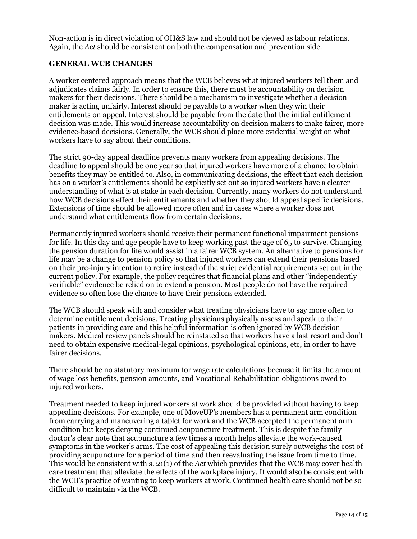Non-action is in direct violation of OH&S law and should not be viewed as labour relations. Again, the *Act* should be consistent on both the compensation and prevention side.

## **GENERAL WCB CHANGES**

A worker centered approach means that the WCB believes what injured workers tell them and adjudicates claims fairly. In order to ensure this, there must be accountability on decision makers for their decisions. There should be a mechanism to investigate whether a decision maker is acting unfairly. Interest should be payable to a worker when they win their entitlements on appeal. Interest should be payable from the date that the initial entitlement decision was made. This would increase accountability on decision makers to make fairer, more evidence-based decisions. Generally, the WCB should place more evidential weight on what workers have to say about their conditions.

The strict 90-day appeal deadline prevents many workers from appealing decisions. The deadline to appeal should be one year so that injured workers have more of a chance to obtain benefits they may be entitled to. Also, in communicating decisions, the effect that each decision has on a worker's entitlements should be explicitly set out so injured workers have a clearer understanding of what is at stake in each decision. Currently, many workers do not understand how WCB decisions effect their entitlements and whether they should appeal specific decisions. Extensions of time should be allowed more often and in cases where a worker does not understand what entitlements flow from certain decisions.

Permanently injured workers should receive their permanent functional impairment pensions for life. In this day and age people have to keep working past the age of 65 to survive. Changing the pension duration for life would assist in a fairer WCB system. An alternative to pensions for life may be a change to pension policy so that injured workers can extend their pensions based on their pre-injury intention to retire instead of the strict evidential requirements set out in the current policy. For example, the policy requires that financial plans and other "independently verifiable" evidence be relied on to extend a pension. Most people do not have the required evidence so often lose the chance to have their pensions extended.

The WCB should speak with and consider what treating physicians have to say more often to determine entitlement decisions. Treating physicians physically assess and speak to their patients in providing care and this helpful information is often ignored by WCB decision makers. Medical review panels should be reinstated so that workers have a last resort and don't need to obtain expensive medical-legal opinions, psychological opinions, etc, in order to have fairer decisions.

There should be no statutory maximum for wage rate calculations because it limits the amount of wage loss benefits, pension amounts, and Vocational Rehabilitation obligations owed to injured workers.

Treatment needed to keep injured workers at work should be provided without having to keep appealing decisions. For example, one of MoveUP's members has a permanent arm condition from carrying and maneuvering a tablet for work and the WCB accepted the permanent arm condition but keeps denying continued acupuncture treatment. This is despite the family doctor's clear note that acupuncture a few times a month helps alleviate the work-caused symptoms in the worker's arms. The cost of appealing this decision surely outweighs the cost of providing acupuncture for a period of time and then reevaluating the issue from time to time. This would be consistent with s. 21(1) of the *Act* which provides that the WCB may cover health care treatment that alleviate the effects of the workplace injury. It would also be consistent with the WCB's practice of wanting to keep workers at work. Continued health care should not be so difficult to maintain via the WCB.